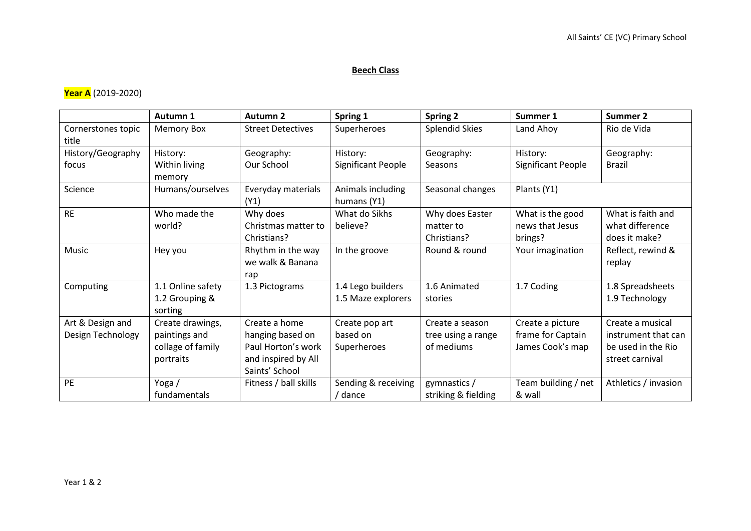## **Beech Class**

## **Year A** (2019-2020)

|                                       | Autumn 1                                                            | <b>Autumn 2</b>                                                                                  | Spring 1                                  | <b>Spring 2</b>                                     | Summer 1                                                  | Summer 2                                                                         |
|---------------------------------------|---------------------------------------------------------------------|--------------------------------------------------------------------------------------------------|-------------------------------------------|-----------------------------------------------------|-----------------------------------------------------------|----------------------------------------------------------------------------------|
| Cornerstones topic<br>title           | <b>Memory Box</b>                                                   | <b>Street Detectives</b>                                                                         | Superheroes                               | <b>Splendid Skies</b>                               | Land Ahoy                                                 | Rio de Vida                                                                      |
| History/Geography<br>focus            | History:<br>Within living                                           | Geography:<br>Our School                                                                         | History:<br>Significant People            | Geography:<br>Seasons                               | History:<br>Significant People                            | Geography:<br><b>Brazil</b>                                                      |
|                                       | memory                                                              |                                                                                                  |                                           |                                                     |                                                           |                                                                                  |
| Science                               | Humans/ourselves                                                    | Everyday materials<br>(Y1)                                                                       | Animals including<br>humans (Y1)          | Seasonal changes                                    | Plants (Y1)                                               |                                                                                  |
| <b>RE</b>                             | Who made the<br>world?                                              | Why does<br>Christmas matter to<br>Christians?                                                   | What do Sikhs<br>believe?                 | Why does Easter<br>matter to<br>Christians?         | What is the good<br>news that Jesus<br>brings?            | What is faith and<br>what difference<br>does it make?                            |
| Music                                 | Hey you                                                             | Rhythm in the way<br>we walk & Banana<br>rap                                                     | In the groove                             | Round & round                                       | Your imagination                                          | Reflect, rewind &<br>replay                                                      |
| Computing                             | 1.1 Online safety<br>1.2 Grouping &<br>sorting                      | 1.3 Pictograms                                                                                   | 1.4 Lego builders<br>1.5 Maze explorers   | 1.6 Animated<br>stories                             | 1.7 Coding                                                | 1.8 Spreadsheets<br>1.9 Technology                                               |
| Art & Design and<br>Design Technology | Create drawings,<br>paintings and<br>collage of family<br>portraits | Create a home<br>hanging based on<br>Paul Horton's work<br>and inspired by All<br>Saints' School | Create pop art<br>based on<br>Superheroes | Create a season<br>tree using a range<br>of mediums | Create a picture<br>frame for Captain<br>James Cook's map | Create a musical<br>instrument that can<br>be used in the Rio<br>street carnival |
| <b>PE</b>                             | Yoga/<br>fundamentals                                               | Fitness / ball skills                                                                            | Sending & receiving<br>/ dance            | gymnastics /<br>striking & fielding                 | Team building / net<br>& wall                             | Athletics / invasion                                                             |